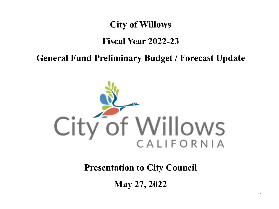### **City of Willows**

### **Fiscal Year 2022-23**

### **General Fund Preliminary Budget / Forecast Update**



## **Presentation to City Council**

**May 27, 2022**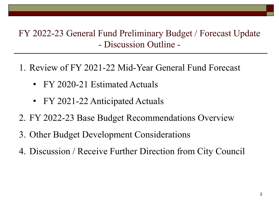## FY 2022-23 General Fund Preliminary Budget / Forecast Update - Discussion Outline -

- 1. Review of FY 2021-22 Mid-Year General Fund Forecast
	- FY 2020-21 Estimated Actuals
	- FY 2021-22 Anticipated Actuals
- 2. FY 2022-23 Base Budget Recommendations Overview
- 3. Other Budget Development Considerations
- 4. Discussion / Receive Further Direction from City Council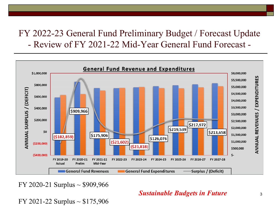

FY 2020-21 Surplus  $\sim$  \$909,966

#### *Sustainable Budgets in Future*

FY 2021-22 Surplus  $\sim$  \$175,906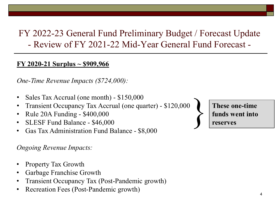#### **FY 2020-21 Surplus ~ \$909,966**

*One-Time Revenue Impacts (\$724,000):*

- Sales Tax Accrual (one month) \$150,000
- Transient Occupancy Tax Accrual (one quarter) \$120,000
- Rule 20A Funding \$400,000
- SLESF Fund Balance \$46,000
- Gas Tax Administration Fund Balance \$8,000

### *Ongoing Revenue Impacts:*

- Property Tax Growth
- Garbage Franchise Growth
- Transient Occupancy Tax (Post-Pandemic growth)
- Recreation Fees (Post-Pandemic growth)

These one-time **funds** went into **reserves funds went into reserves**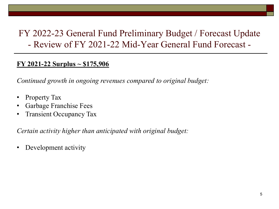#### **FY 2021-22 Surplus ~ \$175,906**

*Continued growth in ongoing revenues compared to original budget:*

- Property Tax
- Garbage Franchise Fees
- Transient Occupancy Tax

*Certain activity higher than anticipated with original budget:*

• Development activity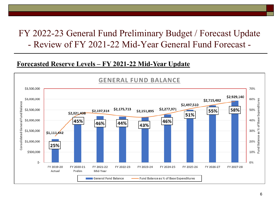#### **Forecasted Reserve Levels – FY 2021-22 Mid-Year Update**

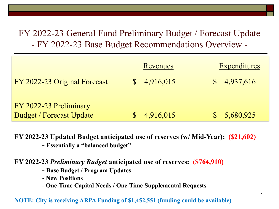|                                 | Revenues  | <b>Expenditures</b> |
|---------------------------------|-----------|---------------------|
| FY 2022-23 Original Forecast    | 4,916,015 | 4,937,616           |
| FY 2022-23 Preliminary          |           |                     |
| <b>Budget / Forecast Update</b> | 4,916,015 | 5,680,925           |

#### **FY 2022-23 Updated Budget anticipated use of reserves (w/ Mid-Year): (\$21,602) - Essentially a "balanced budget"**

**FY 2022-23** *Preliminary Budget* **anticipated use of reserves: (\$764,910)**

- **- Base Budget / Program Updates**
- **- New Positions**
- **- One-Time Capital Needs / One-Time Supplemental Requests**

#### **NOTE: City is receiving ARPA Funding of \$1,452,551 (funding could be available)**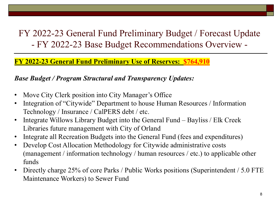### **FY 2022-23 General Fund Preliminary Use of Reserves: \$764,910**

### *Base Budget / Program Structural and Transparency Updates:*

- Move City Clerk position into City Manager's Office
- Integration of "Citywide" Department to house Human Resources / Information Technology / Insurance / CalPERS debt / etc.
- Integrate Willows Library Budget into the General Fund Bayliss / Elk Creek Libraries future management with City of Orland
- Integrate all Recreation Budgets into the General Fund (fees and expenditures)
- Develop Cost Allocation Methodology for Citywide administrative costs (management / information technology / human resources / etc.) to applicable other funds
- Directly charge 25% of core Parks / Public Works positions (Superintendent / 5.0 FTE Maintenance Workers) to Sewer Fund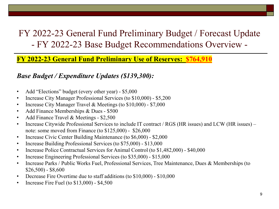**FY 2022-23 General Fund Preliminary Use of Reserves: \$764,910**

#### *Base Budget / Expenditure Updates (\$139,300):*

- Add "Elections" budget (every other year) \$5,000
- Increase City Manager Professional Services (to \$10,000) \$5,200
- Increase City Manager Travel & Meetings (to \$10,000) \$7,000
- Add Finance Memberships & Dues \$500
- Add Finance Travel & Meetings \$2,500
- Increase Citywide Professional Services to include IT contract / RGS (HR issues) and LCW (HR issues) note: some moved from Finance (to \$125,000) - \$26,000
- Increase Civic Center Building Maintenance (to \$6,000) \$2,000
- Increase Building Professional Services (to \$75,000) \$13,000
- Increase Police Contractual Services for Animal Control (to \$1,482,000) \$40,000
- Increase Engineering Professional Services (to \$35,000) \$15,000
- Increase Parks / Public Works Fuel, Professional Services, Tree Maintenance, Dues & Memberships (to  $$26,500$  - \$8,600
- Decrease Fire Overtime due to staff additions (to \$10,000) \$10,000
- Increase Fire Fuel (to  $$13,000$ )  $$4,500$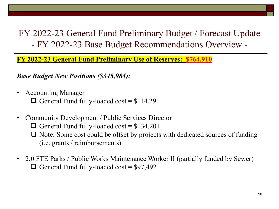**FY 2022-23 General Fund Preliminary Use of Reserves: \$764,910**

*Base Budget New Positions (\$345,984):*

- Accounting Manager General Fund fully-loaded cost =  $$114,291$
- Community Development / Public Services Director
	- General Fund fully-loaded cost =  $$134,201$
	- $\Box$  Note: Some cost could be offset by projects with dedicated sources of funding (i.e. grants / reimbursements)
- 2.0 FTE Parks / Public Works Maintenance Worker II (partially funded by Sewer) General Fund fully-loaded cost =  $$97,492$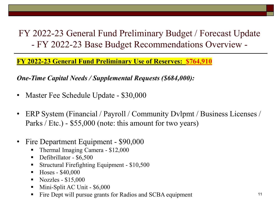**FY 2022-23 General Fund Preliminary Use of Reserves: \$764,910**

*One-Time Capital Needs / Supplemental Requests (\$684,000):*

- Master Fee Schedule Update \$30,000
- ERP System (Financial / Payroll / Community Dylpmt / Business Licenses / Parks / Etc.) - \$55,000 (note: this amount for two years)
- Fire Department Equipment \$90,000
	- Thermal Imaging Camera \$12,000
	- Defibrillator \$6,500
	- **Structural Firefighting Equipment \$10,500**
	- $\blacksquare$  Hoses \$40,000
	- $\blacksquare$  Nozzles \$15,000
	- **Mini-Split AC Unit \$6,000**
	- Fire Dept will pursue grants for Radios and SCBA equipment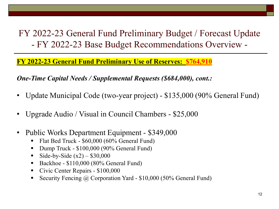**FY 2022-23 General Fund Preliminary Use of Reserves: \$764,910**

*One-Time Capital Needs / Supplemental Requests (\$684,000), cont.:*

- Update Municipal Code (two-year project) \$135,000 (90% General Fund)
- Upgrade Audio / Visual in Council Chambers \$25,000
- Public Works Department Equipment \$349,000
	- Flat Bed Truck \$60,000 (60% General Fund)
	- Dump Truck \$100,000 (90% General Fund)
	- Side-by-Side  $(x2) $30,000$
	- Backhoe \$110,000 (80% General Fund)
	- Civic Center Repairs \$100,000
	- Security Fencing  $\omega$  Corporation Yard \$10,000 (50% General Fund)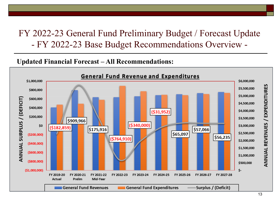**Updated Financial Forecast – All Recommendations:**

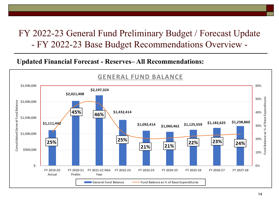### **Updated Financial Forecast - Reserves– All Recommendations:**

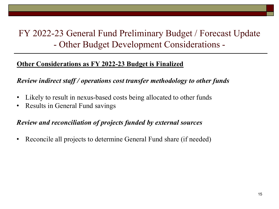# FY 2022-23 General Fund Preliminary Budget / Forecast Update - Other Budget Development Considerations -

### **Other Considerations as FY 2022-23 Budget is Finalized**

### *Review indirect staff / operations cost transfer methodology to other funds*

- Likely to result in nexus-based costs being allocated to other funds
- Results in General Fund savings

### *Review and reconciliation of projects funded by external sources*

• Reconcile all projects to determine General Fund share (if needed)